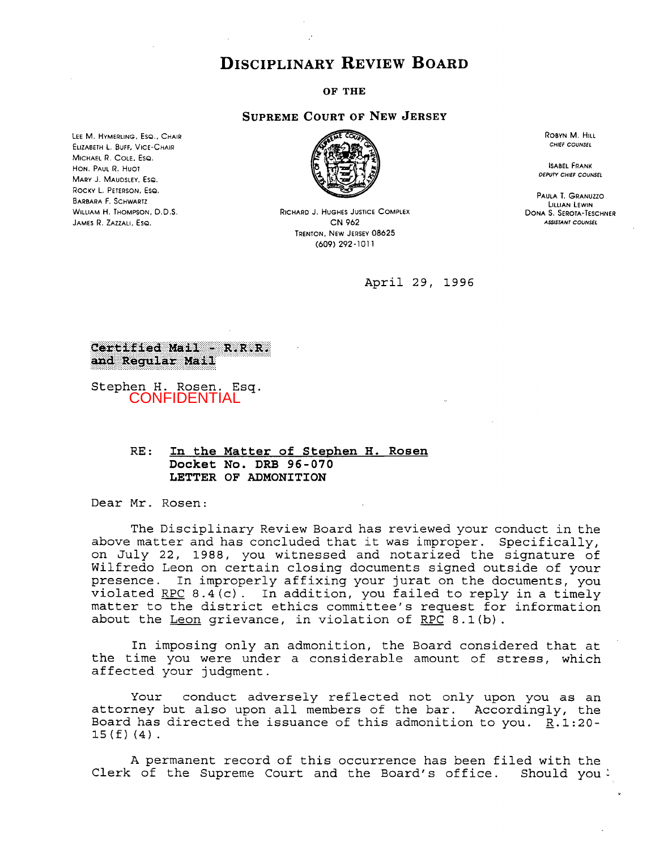## **DISCIPLINARY REVIEW BOARD**

**OF THE** 

## **SUPREME COURT OF NEW JERSEY**

**LEE M. HYMERLING, EsQ., CHAIR MICHAEL R. COLE, Ese. HON. PAUL** R. **Huor MARY** J. **MAUDSLEY. ESQ. ROCKY L. PETERSON, ESQ. WILLIAM H. THOMPSON, D.D.S. JAMES R. ZAZZALI. ESQ. ELIZABETH L. BUFF, VICE-CHAIR BARBARA** F. **SCHWARTZ** 



**RICHARD J. HUGHES JUSTICE COMPLEX CN** *962*  **TRENTON, NEW JERSEY** *08625 (609) 292* -1 *0* <sup>1</sup>**<sup>1</sup>**

April 29, **1996** 

**ROBYN M. HILL**  *CHIEF COUNSEL* 

**ISABEL FRANK**  *DEPUTY CHIEF COUNSEL* 

**PAULA** T. **GRANUZZO LILLIAN LEWIN DONA S. SEROTA-TESCHNER**  *ASJSTANr COUNSEL* 

## Certified Mail - R.R.R. and Regular Mail

Stephen H. Rosen, **Esq. CONFIDENTIAL** 

## RE: **In the Matter of Stephen H. Rosen Docket No. DRB 96-070 LETTER OF ADMONITION**

Dear Mr. Rosen:

The Disciplinary Review Board has reviewed your conduct in the above matter and has concluded that it was improper. Specifically, on July **22, 1988,** you witnessed and notarized the signature of Wilfred0 Leon on certain closing documents signed outside **of** your presence. In improperly affixing your jurat on the documents, you violated RPC  $8.4(c)$ . In addition, you failed to reply in a timely matter to the district ethics committee's request for information about the  $Leon$  grievance, in violation of RPC 8.1(b).</u>

In imposing only an admonition, the Board considered that at the time you were under **a** considerable amount of stress, which affected your judgment.

Your conduct adversely reflected not only upon you as an attorney but also upon all members of the bar. Accordingly, the Board has directed the issuance of this admonition to you. **R.1:20-**  15(f) (4).

A permanent record of this occurrence has been filed with the Clerk of the Supreme Court and the Board's office. Should you